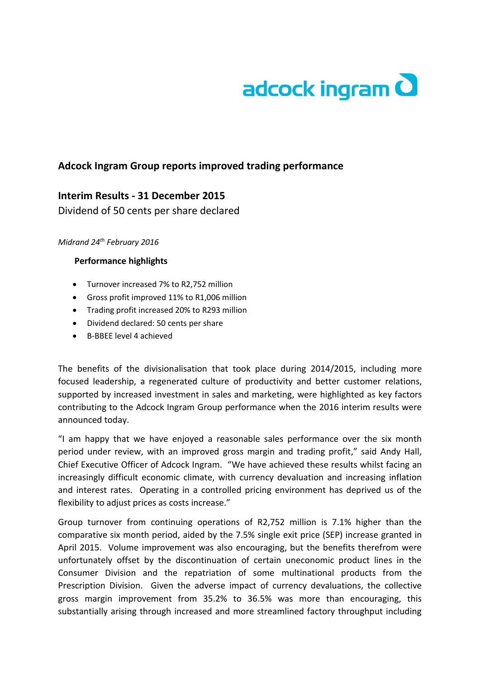

# **Adcock Ingram Group reports improved trading performance**

## **Interim Results - 31 December 2015**

Dividend of 50 cents per share declared

### *Midrand 24th February 2016*

### **Performance highlights**

- Turnover increased 7% to R2,752 million
- Gross profit improved 11% to R1,006 million
- Trading profit increased 20% to R293 million
- Dividend declared: 50 cents per share
- $\bullet$  B-BBEE level 4 achieved

The benefits of the divisionalisation that took place during 2014/2015, including more focused leadership, a regenerated culture of productivity and better customer relations, supported by increased investment in sales and marketing, were highlighted as key factors contributing to the Adcock Ingram Group performance when the 2016 interim results were announced today.

"I am happy that we have enjoyed a reasonable sales performance over the six month period under review, with an improved gross margin and trading profit," said Andy Hall, Chief Executive Officer of Adcock Ingram. "We have achieved these results whilst facing an increasingly difficult economic climate, with currency devaluation and increasing inflation and interest rates. Operating in a controlled pricing environment has deprived us of the flexibility to adjust prices as costs increase."

Group turnover from continuing operations of R2,752 million is 7.1% higher than the comparative six month period, aided by the 7.5% single exit price (SEP) increase granted in April 2015. Volume improvement was also encouraging, but the benefits therefrom were unfortunately offset by the discontinuation of certain uneconomic product lines in the Consumer Division and the repatriation of some multinational products from the Prescription Division. Given the adverse impact of currency devaluations, the collective gross margin improvement from 35.2% to 36.5% was more than encouraging, this substantially arising through increased and more streamlined factory throughput including